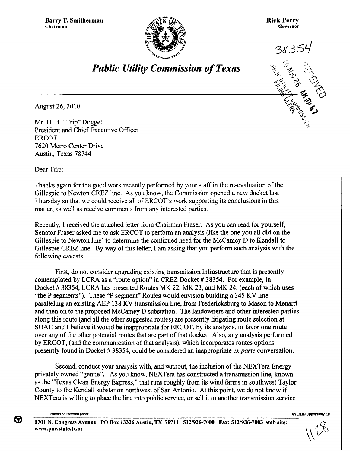

**Rick Perry**<br>Governor **Governor**



*Public Utility Commission of Texas*

**August 26,** 2010

**Mr. H. B.** "Trip" **Doggett .,, President** and Chief **Executive** Officer ERCOT 7620 Metro Center Drive Austin, Texas 78744

Dear Trip:

Thanks again for the good work recently performed by your staff in the re-evaluation of the Gillespie to Newton CREZ line. As you know, the Commission opened a new docket last Thursday so that we could receive all of ERCOT's work supporting its conclusions in this matter, as well as receive comments from any interested parties.

Recently, I received the attached letter from Chairman Fraser. As you can read for yourself, Senator Fraser asked me to ask ERCOT to perform an analysis (like the one you all did on the Gillespie to Newton line) to determine the continued need for the McCamey D to Kendall to Gillespie CREZ line. By way of this letter, I am asking that you perform such analysis with the following caveats;

**First, do not consider upgrading existing transmission infrastructure that is presently contemplated** by LCRA as **a "route option"** in CREZ **Docket # 38354. For example, in Docket # 38354,** LCRA **has presented Routes MK** 22, MK **23, and MK 24, (each of which uses "the P segments"). These "P segment" Routes would envision building a 345 KV line paralleling an existing AEP 138 KV transmission line, from Fredericksburg to Mason to Menard and then on to the proposed McCamey D substation. The landowners and other interested parties along this route** (**and all the other suggested routes) are presently litigating route selection at** SOAH **and I believe it would be inappropriate** for ERCOT, **by its analysis, to favor one route over any of the other potential routes that are part of that docket. Also, any analysis performed** by ERCOT, (**and the communication of that analysis), which incorporates routes options presently found in Docket** # 38354, **could be considered an inappropriate** *exparte* **conversation.**

Second, conduct your analysis with, and without, the inclusion of the NEXTera Energy privately owned "gentie". As you know, NEXTera has constructed a transmission line, known as the "Texas Clean Energy Express," that runs roughly from its wind farms in southwest Taylor County to the Kendall substation northwest of San Antonio. At this point, we do not know if NEXTera is willing to place the line into public service, or sell it to another transmission service

**Printed on recycled paper An Equal Opportunity En**

❸

**1701 N. Congress Avenue PO Box 13326 Austin, TX 78711 512/936-7000 Fax: 512/936-7003 web site:** www.puc.state.tx.us

*\0*\$